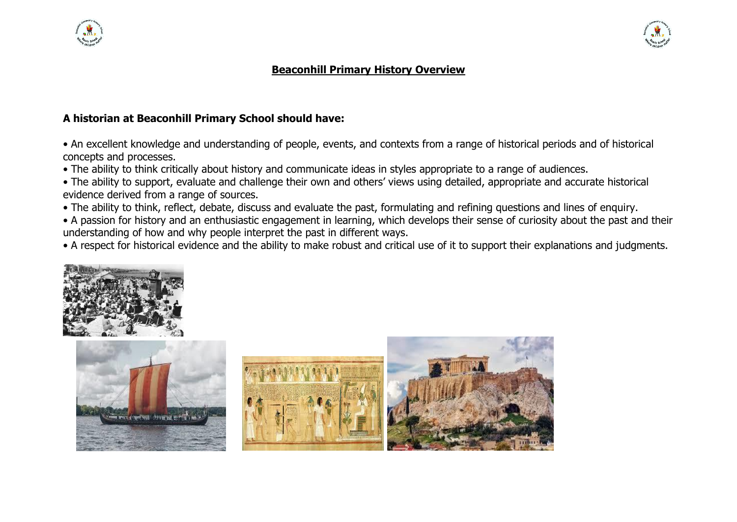



## **Beaconhill Primary History Overview**

## **A historian at Beaconhill Primary School should have:**

• An excellent knowledge and understanding of people, events, and contexts from a range of historical periods and of historical concepts and processes.

• The ability to think critically about history and communicate ideas in styles appropriate to a range of audiences.

• The ability to support, evaluate and challenge their own and others' views using detailed, appropriate and accurate historical evidence derived from a range of sources.

• The ability to think, reflect, debate, discuss and evaluate the past, formulating and refining questions and lines of enquiry.

• A passion for history and an enthusiastic engagement in learning, which develops their sense of curiosity about the past and their understanding of how and why people interpret the past in different ways.

• A respect for historical evidence and the ability to make robust and critical use of it to support their explanations and judgments.





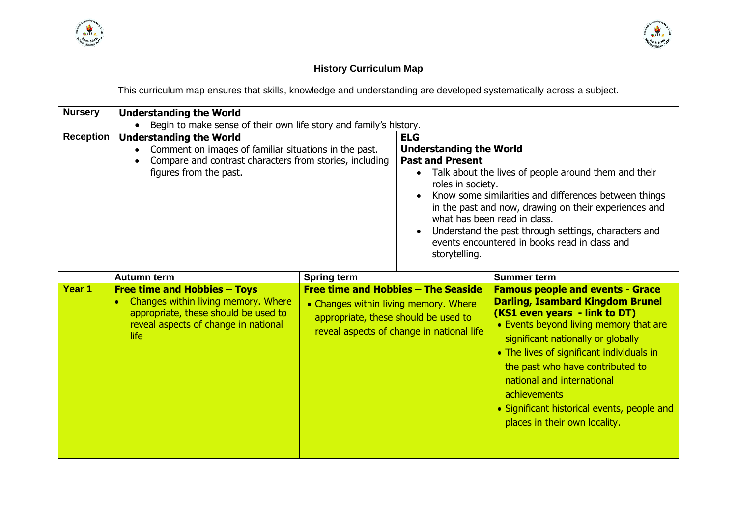



# **History Curriculum Map**

This curriculum map ensures that skills, knowledge and understanding are developed systematically across a subject.

| <b>Nursery</b>   | <b>Understanding the World</b>                                                                                                                                                  |                                                                                                                      |                                                                                                                                                                                                                                                                                                                                                                                                                                                            |                                                                                                                                                                                                                                                                                                                                                                                                                    |
|------------------|---------------------------------------------------------------------------------------------------------------------------------------------------------------------------------|----------------------------------------------------------------------------------------------------------------------|------------------------------------------------------------------------------------------------------------------------------------------------------------------------------------------------------------------------------------------------------------------------------------------------------------------------------------------------------------------------------------------------------------------------------------------------------------|--------------------------------------------------------------------------------------------------------------------------------------------------------------------------------------------------------------------------------------------------------------------------------------------------------------------------------------------------------------------------------------------------------------------|
|                  | Begin to make sense of their own life story and family's history.                                                                                                               |                                                                                                                      |                                                                                                                                                                                                                                                                                                                                                                                                                                                            |                                                                                                                                                                                                                                                                                                                                                                                                                    |
| <b>Reception</b> | <b>Understanding the World</b><br>Comment on images of familiar situations in the past.<br>Compare and contrast characters from stories, including<br>figures from the past.    |                                                                                                                      | <b>ELG</b><br><b>Understanding the World</b><br><b>Past and Present</b><br>Talk about the lives of people around them and their<br>$\bullet$<br>roles in society.<br>Know some similarities and differences between things<br>in the past and now, drawing on their experiences and<br>what has been read in class.<br>Understand the past through settings, characters and<br>$\bullet$<br>events encountered in books read in class and<br>storytelling. |                                                                                                                                                                                                                                                                                                                                                                                                                    |
|                  | <b>Autumn term</b>                                                                                                                                                              | <b>Spring term</b>                                                                                                   |                                                                                                                                                                                                                                                                                                                                                                                                                                                            | <b>Summer term</b>                                                                                                                                                                                                                                                                                                                                                                                                 |
| Year 1           | <b>Free time and Hobbies - Toys</b><br>Changes within living memory. Where<br>$\bullet$<br>appropriate, these should be used to<br>reveal aspects of change in national<br>life | Free time and Hobbies - The Seaside<br>• Changes within living memory. Where<br>appropriate, these should be used to | reveal aspects of change in national life                                                                                                                                                                                                                                                                                                                                                                                                                  | <b>Famous people and events - Grace</b><br><b>Darling, Isambard Kingdom Brunel</b><br>(KS1 even years - link to DT)<br>• Events beyond living memory that are<br>significant nationally or globally<br>• The lives of significant individuals in<br>the past who have contributed to<br>national and international<br>achievements<br>• Significant historical events, people and<br>places in their own locality. |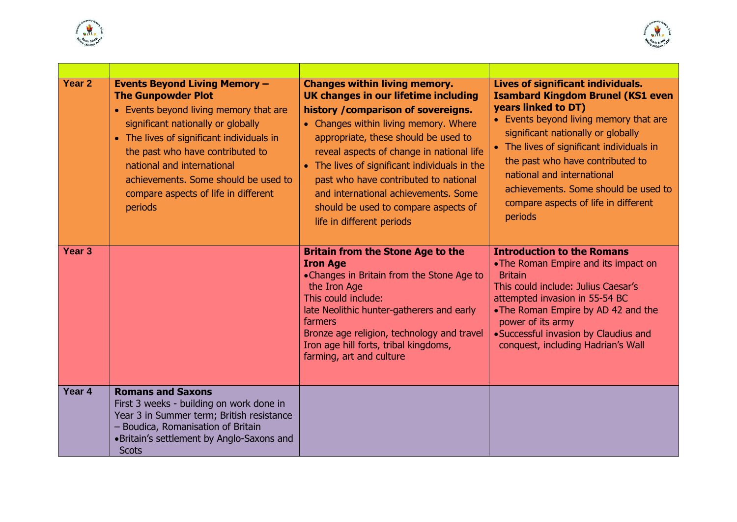



| Year <sub>2</sub> | <b>Events Beyond Living Memory -</b><br><b>The Gunpowder Plot</b><br>• Events beyond living memory that are<br>significant nationally or globally<br>• The lives of significant individuals in<br>the past who have contributed to<br>national and international<br>achievements. Some should be used to<br>compare aspects of life in different<br>periods | <b>Changes within living memory.</b><br>UK changes in our lifetime including<br>history / comparison of sovereigns.<br>• Changes within living memory. Where<br>appropriate, these should be used to<br>reveal aspects of change in national life<br>• The lives of significant individuals in the<br>past who have contributed to national<br>and international achievements. Some<br>should be used to compare aspects of<br>life in different periods | Lives of significant individuals.<br><b>Isambard Kingdom Brunel (KS1 even</b><br>years linked to DT)<br>• Events beyond living memory that are<br>significant nationally or globally<br>• The lives of significant individuals in<br>the past who have contributed to<br>national and international<br>achievements. Some should be used to<br>compare aspects of life in different<br>periods |
|-------------------|-------------------------------------------------------------------------------------------------------------------------------------------------------------------------------------------------------------------------------------------------------------------------------------------------------------------------------------------------------------|----------------------------------------------------------------------------------------------------------------------------------------------------------------------------------------------------------------------------------------------------------------------------------------------------------------------------------------------------------------------------------------------------------------------------------------------------------|------------------------------------------------------------------------------------------------------------------------------------------------------------------------------------------------------------------------------------------------------------------------------------------------------------------------------------------------------------------------------------------------|
| Year <sub>3</sub> |                                                                                                                                                                                                                                                                                                                                                             | <b>Britain from the Stone Age to the</b><br><b>Iron Age</b><br>•Changes in Britain from the Stone Age to<br>the Iron Age<br>This could include:<br>late Neolithic hunter-gatherers and early<br>farmers<br>Bronze age religion, technology and travel<br>Iron age hill forts, tribal kingdoms,<br>farming, art and culture                                                                                                                               | <b>Introduction to the Romans</b><br>• The Roman Empire and its impact on<br><b>Britain</b><br>This could include: Julius Caesar's<br>attempted invasion in 55-54 BC<br>• The Roman Empire by AD 42 and the<br>power of its army<br>• Successful invasion by Claudius and<br>conquest, including Hadrian's Wall                                                                                |
| Year 4            | <b>Romans and Saxons</b><br>First 3 weeks - building on work done in<br>Year 3 in Summer term; British resistance<br>- Boudica, Romanisation of Britain<br>• Britain's settlement by Anglo-Saxons and<br><b>Scots</b>                                                                                                                                       |                                                                                                                                                                                                                                                                                                                                                                                                                                                          |                                                                                                                                                                                                                                                                                                                                                                                                |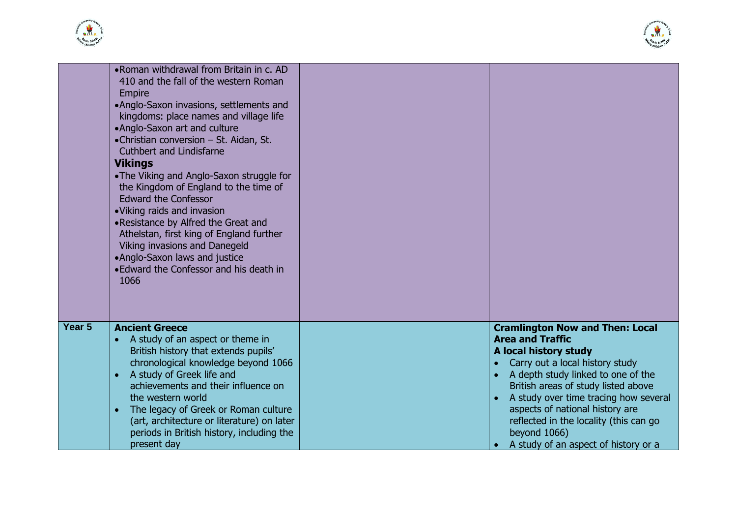



|                   | .Roman withdrawal from Britain in c. AD<br>410 and the fall of the western Roman<br><b>Empire</b><br>•Anglo-Saxon invasions, settlements and<br>kingdoms: place names and village life<br>•Anglo-Saxon art and culture<br>•Christian conversion - St. Aidan, St.<br><b>Cuthbert and Lindisfarne</b><br><b>Vikings</b><br>• The Viking and Anglo-Saxon struggle for<br>the Kingdom of England to the time of<br><b>Edward the Confessor</b><br>• Viking raids and invasion<br>.Resistance by Alfred the Great and<br>Athelstan, first king of England further<br>Viking invasions and Danegeld<br>•Anglo-Saxon laws and justice<br>• Edward the Confessor and his death in<br>1066 |                                                                                                                                                                                                                                                                                                                                                                                                       |
|-------------------|-----------------------------------------------------------------------------------------------------------------------------------------------------------------------------------------------------------------------------------------------------------------------------------------------------------------------------------------------------------------------------------------------------------------------------------------------------------------------------------------------------------------------------------------------------------------------------------------------------------------------------------------------------------------------------------|-------------------------------------------------------------------------------------------------------------------------------------------------------------------------------------------------------------------------------------------------------------------------------------------------------------------------------------------------------------------------------------------------------|
| Year <sub>5</sub> | <b>Ancient Greece</b><br>A study of an aspect or theme in<br>British history that extends pupils'<br>chronological knowledge beyond 1066<br>A study of Greek life and<br>achievements and their influence on<br>the western world<br>The legacy of Greek or Roman culture<br>(art, architecture or literature) on later<br>periods in British history, including the<br>present day                                                                                                                                                                                                                                                                                               | <b>Cramlington Now and Then: Local</b><br><b>Area and Traffic</b><br>A local history study<br>Carry out a local history study<br>$\bullet$<br>A depth study linked to one of the<br>British areas of study listed above<br>A study over time tracing how several<br>aspects of national history are<br>reflected in the locality (this can go<br>beyond 1066)<br>A study of an aspect of history or a |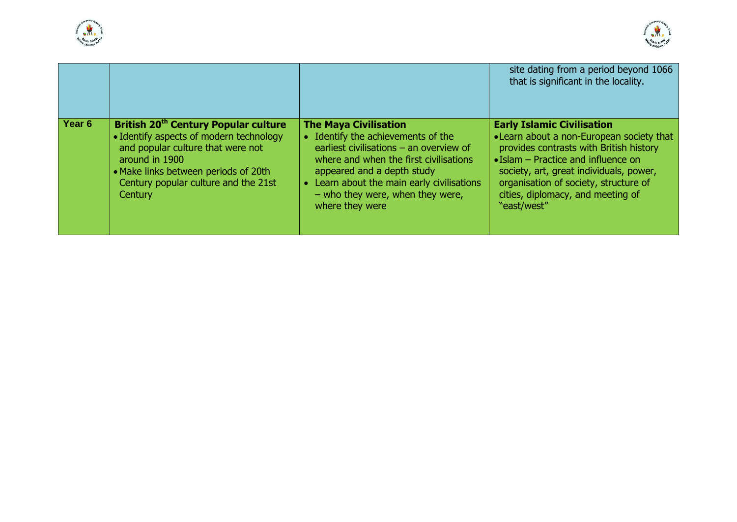



|                   |                                                                                                                                                                                                                                                      |                                                                                                                                                                                                                                                                                              | site dating from a period beyond 1066<br>that is significant in the locality.                                                                                                                                                                                                                                    |
|-------------------|------------------------------------------------------------------------------------------------------------------------------------------------------------------------------------------------------------------------------------------------------|----------------------------------------------------------------------------------------------------------------------------------------------------------------------------------------------------------------------------------------------------------------------------------------------|------------------------------------------------------------------------------------------------------------------------------------------------------------------------------------------------------------------------------------------------------------------------------------------------------------------|
| Year <sub>6</sub> | British 20 <sup>th</sup> Century Popular culture<br>• Identify aspects of modern technology<br>and popular culture that were not<br>around in 1900<br>• Make links between periods of 20th<br>Century popular culture and the 21st<br><b>Century</b> | <b>The Maya Civilisation</b><br>• Identify the achievements of the<br>earliest civilisations $-$ an overview of<br>where and when the first civilisations<br>appeared and a depth study<br>Learn about the main early civilisations<br>$-$ who they were, when they were,<br>where they were | <b>Early Islamic Civilisation</b><br>• Learn about a non-European society that<br>provides contrasts with British history<br>$\bullet$ Islam – Practice and influence on<br>society, art, great individuals, power,<br>organisation of society, structure of<br>cities, diplomacy, and meeting of<br>"east/west" |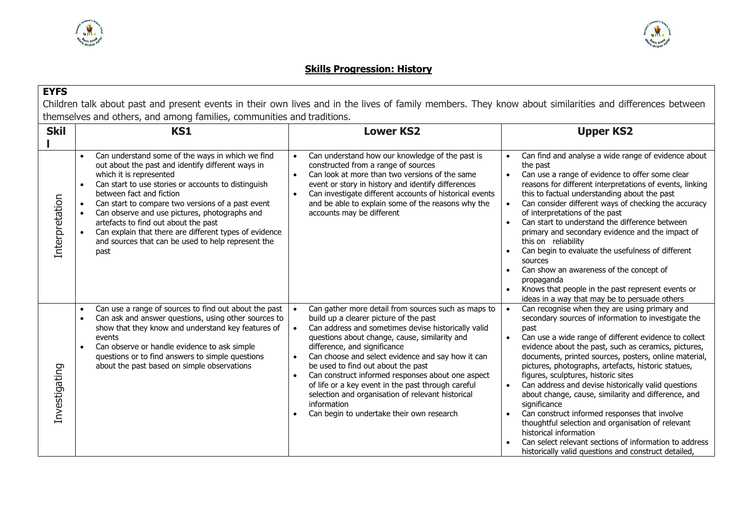



### **Skills Progression: History**

### **EYFS** Children talk about past and present events in their own lives and in the lives of family members. They know about similarities and differences between themselves and others, and among families, communities and traditions.

| <b>Skil</b>    | <b>KS1</b>                                                                                                                                                                                                                                                                                                                                                                                                                                                                                             | <b>Lower KS2</b>                                                                                                                                                                                                                                                                                                                                                                                                                                                                                                                                                                       | <b>Upper KS2</b>                                                                                                                                                                                                                                                                                                                                                                                                                                                                                                                                                                                                                                                                                                                                                                  |
|----------------|--------------------------------------------------------------------------------------------------------------------------------------------------------------------------------------------------------------------------------------------------------------------------------------------------------------------------------------------------------------------------------------------------------------------------------------------------------------------------------------------------------|----------------------------------------------------------------------------------------------------------------------------------------------------------------------------------------------------------------------------------------------------------------------------------------------------------------------------------------------------------------------------------------------------------------------------------------------------------------------------------------------------------------------------------------------------------------------------------------|-----------------------------------------------------------------------------------------------------------------------------------------------------------------------------------------------------------------------------------------------------------------------------------------------------------------------------------------------------------------------------------------------------------------------------------------------------------------------------------------------------------------------------------------------------------------------------------------------------------------------------------------------------------------------------------------------------------------------------------------------------------------------------------|
| Interpretation | Can understand some of the ways in which we find<br>$\bullet$<br>out about the past and identify different ways in<br>which it is represented<br>Can start to use stories or accounts to distinguish<br>between fact and fiction<br>Can start to compare two versions of a past event<br>Can observe and use pictures, photographs and<br>artefacts to find out about the past<br>Can explain that there are different types of evidence<br>and sources that can be used to help represent the<br>past | Can understand how our knowledge of the past is<br>$\bullet$<br>constructed from a range of sources<br>Can look at more than two versions of the same<br>$\bullet$<br>event or story in history and identify differences<br>Can investigate different accounts of historical events<br>$\bullet$<br>and be able to explain some of the reasons why the<br>accounts may be different                                                                                                                                                                                                    | Can find and analyse a wide range of evidence about<br>$\bullet$<br>the past<br>Can use a range of evidence to offer some clear<br>reasons for different interpretations of events, linking<br>this to factual understanding about the past<br>Can consider different ways of checking the accuracy<br>of interpretations of the past<br>Can start to understand the difference between<br>$\bullet$<br>primary and secondary evidence and the impact of<br>this on reliability<br>Can begin to evaluate the usefulness of different<br>sources<br>Can show an awareness of the concept of<br>propaganda<br>Knows that people in the past represent events or<br>ideas in a way that may be to persuade others                                                                    |
| Investigating  | Can use a range of sources to find out about the past<br>$\bullet$<br>Can ask and answer questions, using other sources to<br>$\bullet$<br>show that they know and understand key features of<br>events<br>Can observe or handle evidence to ask simple<br>questions or to find answers to simple questions<br>about the past based on simple observations                                                                                                                                             | Can gather more detail from sources such as maps to<br>build up a clearer picture of the past<br>Can address and sometimes devise historically valid<br>$\bullet$<br>questions about change, cause, similarity and<br>difference, and significance<br>Can choose and select evidence and say how it can<br>be used to find out about the past<br>Can construct informed responses about one aspect<br>$\bullet$<br>of life or a key event in the past through careful<br>selection and organisation of relevant historical<br>information<br>Can begin to undertake their own research | Can recognise when they are using primary and<br>secondary sources of information to investigate the<br>past<br>Can use a wide range of different evidence to collect<br>$\bullet$<br>evidence about the past, such as ceramics, pictures,<br>documents, printed sources, posters, online material,<br>pictures, photographs, artefacts, historic statues,<br>figures, sculptures, historic sites<br>Can address and devise historically valid questions<br>about change, cause, similarity and difference, and<br>significance<br>Can construct informed responses that involve<br>thoughtful selection and organisation of relevant<br>historical information<br>Can select relevant sections of information to address<br>historically valid questions and construct detailed, |